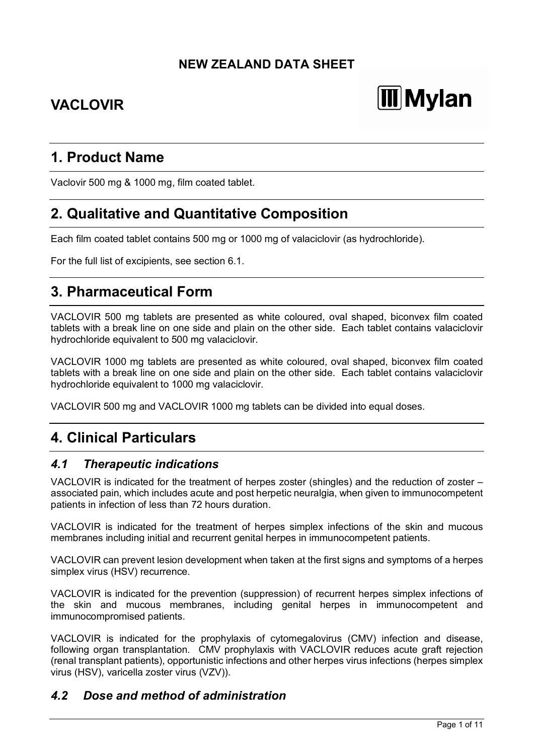# **NEW ZEALAND DATA SHEET**

# **VACLOVIR**

# **III** Mylan

# **1. Product Name**

Vaclovir 500 mg & 1000 mg, film coated tablet.

# **2. Qualitative and Quantitative Composition**

Each film coated tablet contains 500 mg or 1000 mg of valaciclovir (as hydrochloride).

For the full list of excipients, see section 6.1.

# **3. Pharmaceutical Form**

VACLOVIR 500 mg tablets are presented as white coloured, oval shaped, biconvex film coated tablets with a break line on one side and plain on the other side. Each tablet contains valaciclovir hydrochloride equivalent to 500 mg valaciclovir.

VACLOVIR 1000 mg tablets are presented as white coloured, oval shaped, biconvex film coated tablets with a break line on one side and plain on the other side. Each tablet contains valaciclovir hydrochloride equivalent to 1000 mg valaciclovir.

VACLOVIR 500 mg and VACLOVIR 1000 mg tablets can be divided into equal doses.

# **4. Clinical Particulars**

# *4.1 Therapeutic indications*

VACLOVIR is indicated for the treatment of herpes zoster (shingles) and the reduction of zoster – associated pain, which includes acute and post herpetic neuralgia, when given to immunocompetent patients in infection of less than 72 hours duration.

VACLOVIR is indicated for the treatment of herpes simplex infections of the skin and mucous membranes including initial and recurrent genital herpes in immunocompetent patients.

VACLOVIR can prevent lesion development when taken at the first signs and symptoms of a herpes simplex virus (HSV) recurrence.

VACLOVIR is indicated for the prevention (suppression) of recurrent herpes simplex infections of the skin and mucous membranes, including genital herpes in immunocompetent and immunocompromised patients.

VACLOVIR is indicated for the prophylaxis of cytomegalovirus (CMV) infection and disease, following organ transplantation. CMV prophylaxis with VACLOVIR reduces acute graft rejection (renal transplant patients), opportunistic infections and other herpes virus infections (herpes simplex virus (HSV), varicella zoster virus (VZV)).

# *4.2 Dose and method of administration*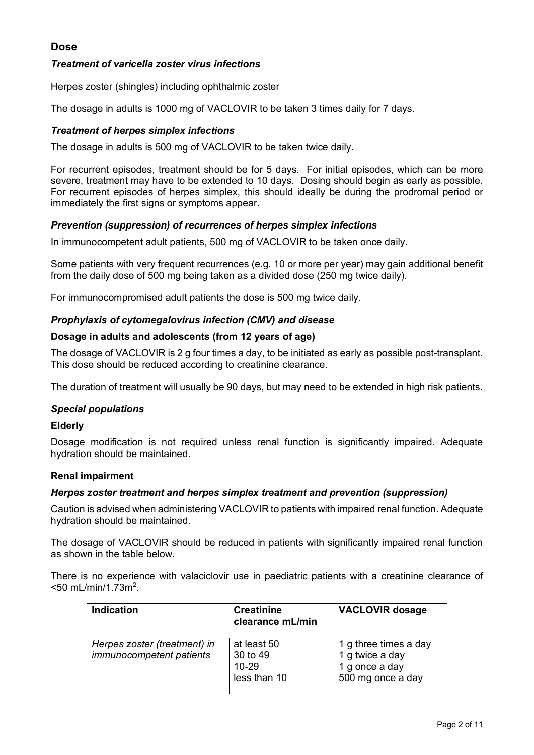#### **Dose**

#### *Treatment of varicella zoster virus infections*

Herpes zoster (shingles) including ophthalmic zoster

The dosage in adults is 1000 mg of VACLOVIR to be taken 3 times daily for 7 days.

#### *Treatment of herpes simplex infections*

The dosage in adults is 500 mg of VACLOVIR to be taken twice daily.

For recurrent episodes, treatment should be for 5 days. For initial episodes, which can be more severe, treatment may have to be extended to 10 days. Dosing should begin as early as possible. For recurrent episodes of herpes simplex, this should ideally be during the prodromal period or immediately the first signs or symptoms appear.

#### *Prevention (suppression) of recurrences of herpes simplex infections*

In immunocompetent adult patients, 500 mg of VACLOVIR to be taken once daily.

Some patients with very frequent recurrences (e.g. 10 or more per year) may gain additional benefit from the daily dose of 500 mg being taken as a divided dose (250 mg twice daily).

For immunocompromised adult patients the dose is 500 mg twice daily.

#### *Prophylaxis of cytomegalovirus infection (CMV) and disease*

#### **Dosage in adults and adolescents (from 12 years of age)**

The dosage of VACLOVIR is 2 g four times a day, to be initiated as early as possible post-transplant. This dose should be reduced according to creatinine clearance.

The duration of treatment will usually be 90 days, but may need to be extended in high risk patients.

#### *Special populations*

#### **Elderly**

Dosage modification is not required unless renal function is significantly impaired. Adequate hydration should be maintained.

#### **Renal impairment**

#### *Herpes zoster treatment and herpes simplex treatment and prevention (suppression)*

Caution is advised when administering VACLOVIR to patients with impaired renal function. Adequate hydration should be maintained.

The dosage of VACLOVIR should be reduced in patients with significantly impaired renal function as shown in the table below.

There is no experience with valaciclovir use in paediatric patients with a creatinine clearance of  $<$ 50 mL/min/1.73m<sup>2</sup>.

| <b>Indication</b>                                        | <b>Creatinine</b><br>clearance mL/min            | <b>VACLOVIR dosage</b>                                                          |
|----------------------------------------------------------|--------------------------------------------------|---------------------------------------------------------------------------------|
| Herpes zoster (treatment) in<br>immunocompetent patients | at least 50<br>30 to 49<br>10-29<br>less than 10 | 1 g three times a day<br>1 g twice a day<br>1 g once a day<br>500 mg once a day |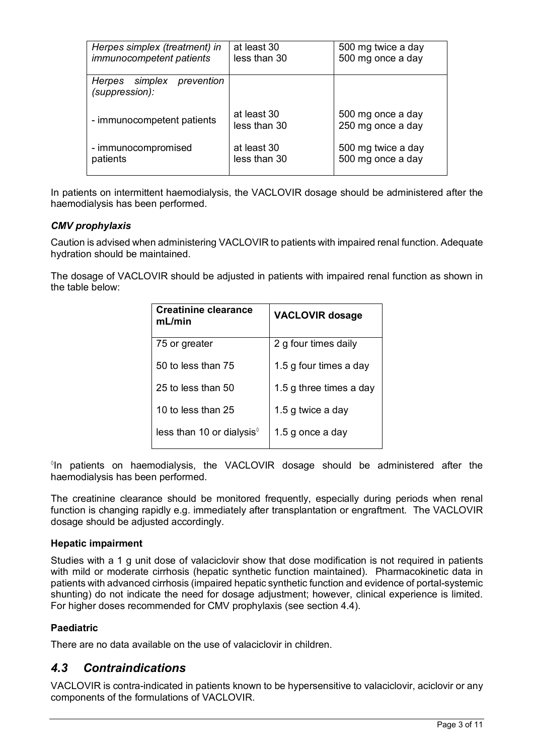| Herpes simplex (treatment) in                  | at least 30  | 500 mg twice a day |
|------------------------------------------------|--------------|--------------------|
| <i>immunocompetent patients</i>                | less than 30 | 500 mg once a day  |
|                                                |              |                    |
| Herpes simplex<br>prevention<br>(suppression): |              |                    |
|                                                |              |                    |
| - immunocompetent patients                     | at least 30  | 500 mg once a day  |
|                                                | less than 30 | 250 mg once a day  |
| - immunocompromised                            | at least 30  | 500 mg twice a day |
| patients                                       | less than 30 | 500 mg once a day  |
|                                                |              |                    |

In patients on intermittent haemodialysis, the VACLOVIR dosage should be administered after the haemodialysis has been performed.

#### *CMV prophylaxis*

Caution is advised when administering VACLOVIR to patients with impaired renal function. Adequate hydration should be maintained.

The dosage of VACLOVIR should be adjusted in patients with impaired renal function as shown in the table below:

| Creatinine clearance<br>mL/min | <b>VACLOVIR dosage</b>  |
|--------------------------------|-------------------------|
| 75 or greater                  | 2 g four times daily    |
| 50 to less than 75             | 1.5 g four times a day  |
| 25 to less than $50$           | 1.5 g three times a day |
| 10 to less than 25             | 1.5 g twice a day       |
| less than 10 or dialysis $\%$  | 1.5 g once a day        |

 $\degree$ In patients on haemodialysis, the VACLOVIR dosage should be administered after the haemodialysis has been performed.

The creatinine clearance should be monitored frequently, especially during periods when renal function is changing rapidly e.g. immediately after transplantation or engraftment. The VACLOVIR dosage should be adjusted accordingly.

#### **Hepatic impairment**

Studies with a 1 g unit dose of valaciclovir show that dose modification is not required in patients with mild or moderate cirrhosis (hepatic synthetic function maintained). Pharmacokinetic data in patients with advanced cirrhosis (impaired hepatic synthetic function and evidence of portal-systemic shunting) do not indicate the need for dosage adjustment; however, clinical experience is limited. For higher doses recommended for CMV prophylaxis (see section 4.4).

#### **Paediatric**

There are no data available on the use of valaciclovir in children.

# *4.3 Contraindications*

VACLOVIR is contra-indicated in patients known to be hypersensitive to valaciclovir, aciclovir or any components of the formulations of VACLOVIR.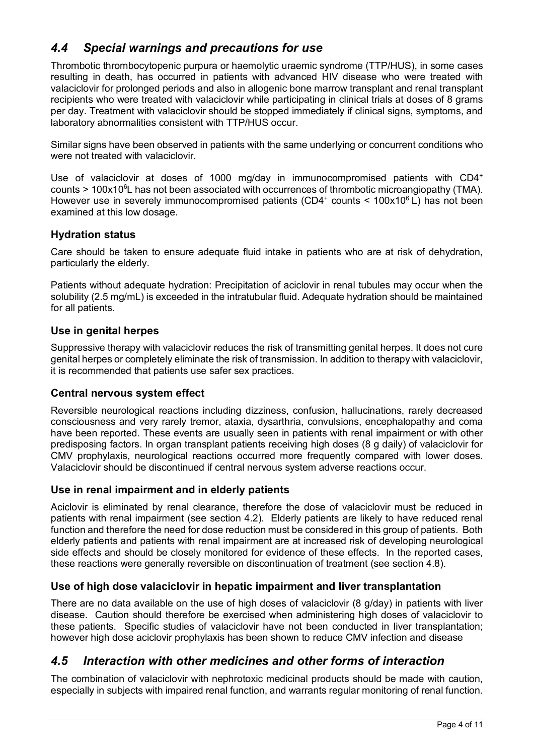# *4.4 Special warnings and precautions for use*

Thrombotic thrombocytopenic purpura or haemolytic uraemic syndrome (TTP/HUS), in some cases resulting in death, has occurred in patients with advanced HIV disease who were treated with valaciclovir for prolonged periods and also in allogenic bone marrow transplant and renal transplant recipients who were treated with valaciclovir while participating in clinical trials at doses of 8 grams per day. Treatment with valaciclovir should be stopped immediately if clinical signs, symptoms, and laboratory abnormalities consistent with TTP/HUS occur.

Similar signs have been observed in patients with the same underlying or concurrent conditions who were not treated with valaciclovir.

Use of valaciclovir at doses of 1000 mg/day in immunocompromised patients with CD4<sup>+</sup> counts > 100x10<sup>6</sup>L has not been associated with occurrences of thrombotic microangiopathy (TMA). However use in severely immunocompromised patients (CD4<sup>+</sup> counts <  $100x10^6$  L) has not been examined at this low dosage.

### **Hydration status**

Care should be taken to ensure adequate fluid intake in patients who are at risk of dehydration, particularly the elderly.

Patients without adequate hydration: Precipitation of aciclovir in renal tubules may occur when the solubility (2.5 mg/mL) is exceeded in the intratubular fluid. Adequate hydration should be maintained for all patients.

#### **Use in genital herpes**

Suppressive therapy with valaciclovir reduces the risk of transmitting genital herpes. It does not cure genital herpes or completely eliminate the risk of transmission. In addition to therapy with valaciclovir, it is recommended that patients use safer sex practices.

#### **Central nervous system effect**

Reversible neurological reactions including dizziness, confusion, hallucinations, rarely decreased consciousness and very rarely tremor, ataxia, dysarthria, convulsions, encephalopathy and coma have been reported. These events are usually seen in patients with renal impairment or with other predisposing factors. In organ transplant patients receiving high doses (8 g daily) of valaciclovir for CMV prophylaxis, neurological reactions occurred more frequently compared with lower doses. Valaciclovir should be discontinued if central nervous system adverse reactions occur.

#### **Use in renal impairment and in elderly patients**

Aciclovir is eliminated by renal clearance, therefore the dose of valaciclovir must be reduced in patients with renal impairment (see section 4.2). Elderly patients are likely to have reduced renal function and therefore the need for dose reduction must be considered in this group of patients. Both elderly patients and patients with renal impairment are at increased risk of developing neurological side effects and should be closely monitored for evidence of these effects. In the reported cases, these reactions were generally reversible on discontinuation of treatment (see section 4.8).

#### **Use of high dose valaciclovir in hepatic impairment and liver transplantation**

There are no data available on the use of high doses of valaciclovir (8 g/day) in patients with liver disease. Caution should therefore be exercised when administering high doses of valaciclovir to these patients.Specific studies of valaciclovir have not been conducted in liver transplantation; however high dose aciclovir prophylaxis has been shown to reduce CMV infection and disease

# *4.5 Interaction with other medicines and other forms of interaction*

The combination of valaciclovir with nephrotoxic medicinal products should be made with caution, especially in subjects with impaired renal function, and warrants regular monitoring of renal function.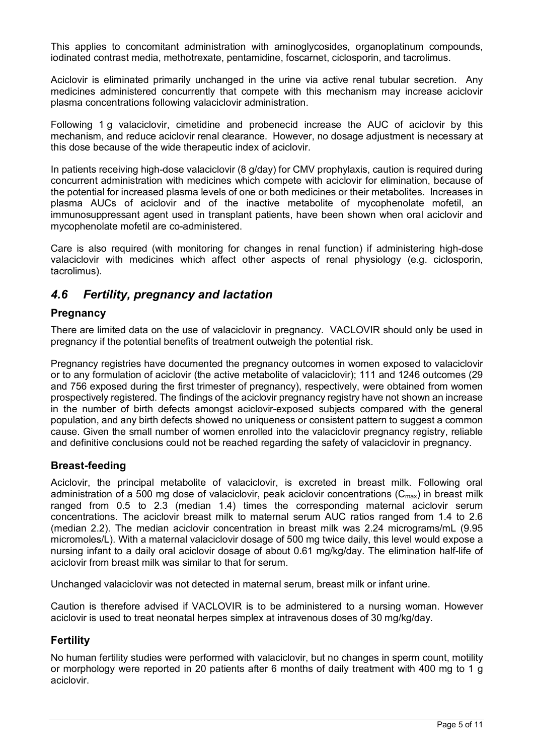This applies to concomitant administration with aminoglycosides, organoplatinum compounds, iodinated contrast media, methotrexate, pentamidine, foscarnet, ciclosporin, and tacrolimus.

Aciclovir is eliminated primarily unchanged in the urine via active renal tubular secretion. Any medicines administered concurrently that compete with this mechanism may increase aciclovir plasma concentrations following valaciclovir administration.

Following 1 g valaciclovir, cimetidine and probenecid increase the AUC of aciclovir by this mechanism, and reduce aciclovir renal clearance. However, no dosage adjustment is necessary at this dose because of the wide therapeutic index of aciclovir.

In patients receiving high-dose valaciclovir (8 g/day) for CMV prophylaxis, caution is required during concurrent administration with medicines which compete with aciclovir for elimination, because of the potential for increased plasma levels of one or both medicines or their metabolites. Increases in plasma AUCs of aciclovir and of the inactive metabolite of mycophenolate mofetil, an immunosuppressant agent used in transplant patients, have been shown when oral aciclovir and mycophenolate mofetil are co-administered.

Care is also required (with monitoring for changes in renal function) if administering high-dose valaciclovir with medicines which affect other aspects of renal physiology (e.g. ciclosporin, tacrolimus).

# *4.6 Fertility, pregnancy and lactation*

#### **Pregnancy**

There are limited data on the use of valaciclovir in pregnancy. VACLOVIR should only be used in pregnancy if the potential benefits of treatment outweigh the potential risk.

Pregnancy registries have documented the pregnancy outcomes in women exposed to valaciclovir or to any formulation of aciclovir (the active metabolite of valaciclovir); 111 and 1246 outcomes (29 and 756 exposed during the first trimester of pregnancy), respectively, were obtained from women prospectively registered. The findings of the aciclovir pregnancy registry have not shown an increase in the number of birth defects amongst aciclovir-exposed subjects compared with the general population, and any birth defects showed no uniqueness or consistent pattern to suggest a common cause. Given the small number of women enrolled into the valaciclovir pregnancy registry, reliable and definitive conclusions could not be reached regarding the safety of valaciclovir in pregnancy.

#### **Breast-feeding**

Aciclovir, the principal metabolite of valaciclovir, is excreted in breast milk. Following oral administration of a 500 mg dose of valaciclovir, peak aciclovir concentrations ( $C_{\text{max}}$ ) in breast milk ranged from 0.5 to 2.3 (median 1.4) times the corresponding maternal aciclovir serum concentrations. The aciclovir breast milk to maternal serum AUC ratios ranged from 1.4 to 2.6 (median 2.2). The median aciclovir concentration in breast milk was 2.24 micrograms/mL (9.95 micromoles/L). With a maternal valaciclovir dosage of 500 mg twice daily, this level would expose a nursing infant to a daily oral aciclovir dosage of about 0.61 mg/kg/day. The elimination half-life of aciclovir from breast milk was similar to that for serum.

Unchanged valaciclovir was not detected in maternal serum, breast milk or infant urine.

Caution is therefore advised if VACLOVIR is to be administered to a nursing woman. However aciclovir is used to treat neonatal herpes simplex at intravenous doses of 30 mg/kg/day.

#### **Fertility**

No human fertility studies were performed with valaciclovir, but no changes in sperm count, motility or morphology were reported in 20 patients after 6 months of daily treatment with 400 mg to 1 g aciclovir.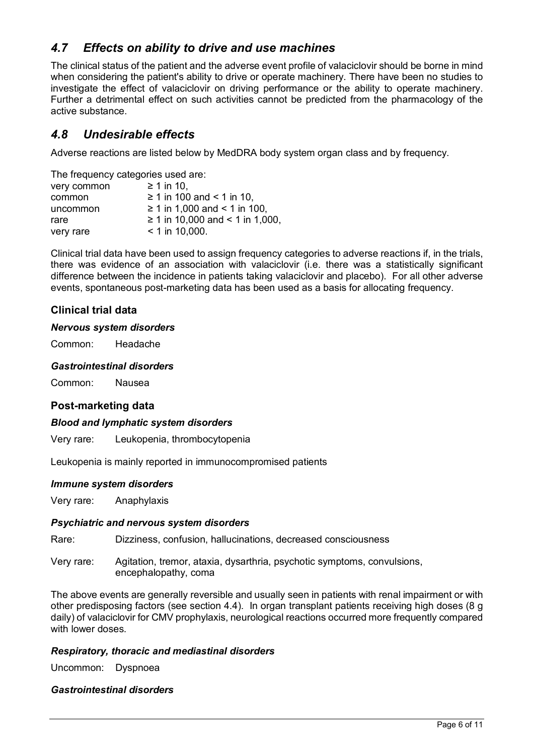# *4.7 Effects on ability to drive and use machines*

The clinical status of the patient and the adverse event profile of valaciclovir should be borne in mind when considering the patient's ability to drive or operate machinery. There have been no studies to investigate the effect of valaciclovir on driving performance or the ability to operate machinery. Further a detrimental effect on such activities cannot be predicted from the pharmacology of the active substance.

# *4.8 Undesirable effects*

Adverse reactions are listed below by MedDRA body system organ class and by frequency.

The frequency categories used are:

| $\geq 1$ in 10.                      |
|--------------------------------------|
| $\geq$ 1 in 100 and < 1 in 10.       |
| $\geq$ 1 in 1,000 and < 1 in 100,    |
| $\geq$ 1 in 10,000 and < 1 in 1,000, |
| $<$ 1 in 10,000.                     |
|                                      |

Clinical trial data have been used to assign frequency categories to adverse reactions if, in the trials, there was evidence of an association with valaciclovir (i.e. there was a statistically significant difference between the incidence in patients taking valaciclovir and placebo). For all other adverse events, spontaneous post-marketing data has been used as a basis for allocating frequency.

### **Clinical trial data**

#### *Nervous system disorders*

Common: Headache

#### *Gastrointestinal disorders*

Common: Nausea

#### **Post-marketing data**

#### *Blood and lymphatic system disorders*

Very rare: Leukopenia, thrombocytopenia

Leukopenia is mainly reported in immunocompromised patients

#### *Immune system disorders*

Very rare: Anaphylaxis

#### *Psychiatric and nervous system disorders*

Rare: Dizziness, confusion, hallucinations, decreased consciousness

Very rare: Agitation, tremor, ataxia, dysarthria, psychotic symptoms, convulsions, encephalopathy, coma

The above events are generally reversible and usually seen in patients with renal impairment or with other predisposing factors (see section 4.4). In organ transplant patients receiving high doses (8 g daily) of valaciclovir for CMV prophylaxis, neurological reactions occurred more frequently compared with lower doses.

#### *Respiratory, thoracic and mediastinal disorders*

Uncommon: Dyspnoea

#### *Gastrointestinal disorders*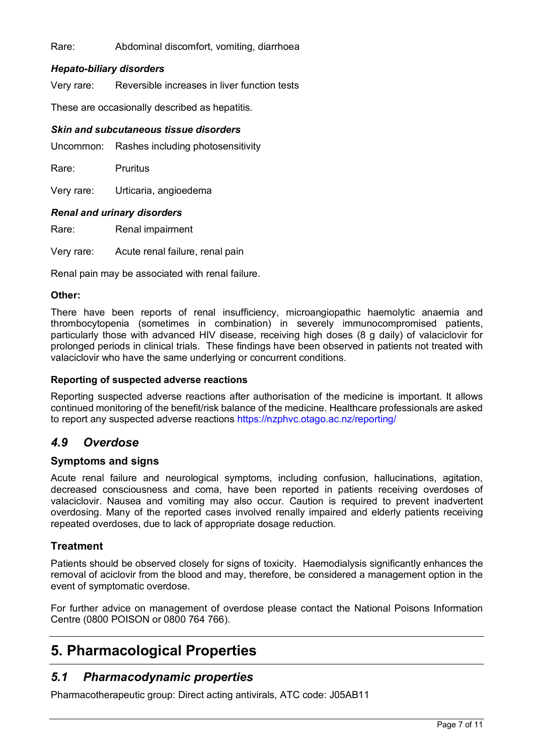#### Rare: Abdominal discomfort, vomiting, diarrhoea

#### *Hepato-biliary disorders*

Very rare: Reversible increases in liver function tests

These are occasionally described as hepatitis.

#### *Skin and subcutaneous tissue disorders*

Uncommon: Rashes including photosensitivity

Rare: Pruritus

Very rare: Urticaria, angioedema

#### *Renal and urinary disorders*

Rare: Renal impairment

Very rare: Acute renal failure, renal pain

Renal pain may be associated with renal failure.

#### **Other:**

There have been reports of renal insufficiency, microangiopathic haemolytic anaemia and thrombocytopenia (sometimes in combination) in severely immunocompromised patients, particularly those with advanced HIV disease, receiving high doses (8 g daily) of valaciclovir for prolonged periods in clinical trials. These findings have been observed in patients not treated with valaciclovir who have the same underlying or concurrent conditions.

#### **Reporting of suspected adverse reactions**

Reporting suspected adverse reactions after authorisation of the medicine is important. It allows continued monitoring of the benefit/risk balance of the medicine. Healthcare professionals are asked to report any suspected adverse reactions https://nzphvc.otago.ac.nz/reporting/

#### *4.9 Overdose*

#### **Symptoms and signs**

Acute renal failure and neurological symptoms, including confusion, hallucinations, agitation, decreased consciousness and coma, have been reported in patients receiving overdoses of valaciclovir. Nausea and vomiting may also occur. Caution is required to prevent inadvertent overdosing. Many of the reported cases involved renally impaired and elderly patients receiving repeated overdoses, due to lack of appropriate dosage reduction.

#### **Treatment**

Patients should be observed closely for signs of toxicity. Haemodialysis significantly enhances the removal of aciclovir from the blood and may, therefore, be considered a management option in the event of symptomatic overdose.

For further advice on management of overdose please contact the National Poisons Information Centre (0800 POISON or 0800 764 766).

# **5. Pharmacological Properties**

# *5.1 Pharmacodynamic properties*

Pharmacotherapeutic group: Direct acting antivirals, ATC code: J05AB11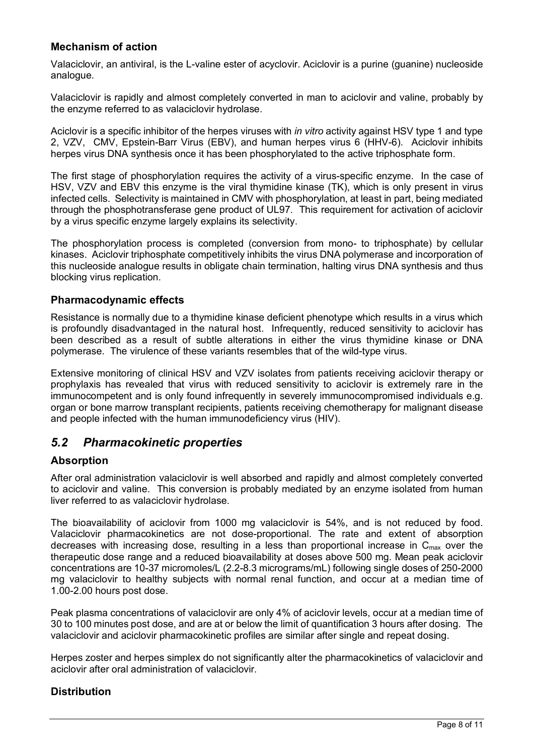### **Mechanism of action**

Valaciclovir, an antiviral, is the L-valine ester of acyclovir. Aciclovir is a purine (guanine) nucleoside analogue.

Valaciclovir is rapidly and almost completely converted in man to aciclovir and valine, probably by the enzyme referred to as valaciclovir hydrolase.

Aciclovir is a specific inhibitor of the herpes viruses with *in vitro* activity against HSV type 1 and type 2, VZV, CMV, Epstein-Barr Virus (EBV), and human herpes virus 6 (HHV-6). Aciclovir inhibits herpes virus DNA synthesis once it has been phosphorylated to the active triphosphate form.

The first stage of phosphorylation requires the activity of a virus-specific enzyme. In the case of HSV, VZV and EBV this enzyme is the viral thymidine kinase (TK), which is only present in virus infected cells. Selectivity is maintained in CMV with phosphorylation, at least in part, being mediated through the phosphotransferase gene product of UL97. This requirement for activation of aciclovir by a virus specific enzyme largely explains its selectivity.

The phosphorylation process is completed (conversion from mono- to triphosphate) by cellular kinases. Aciclovir triphosphate competitively inhibits the virus DNA polymerase and incorporation of this nucleoside analogue results in obligate chain termination, halting virus DNA synthesis and thus blocking virus replication.

#### **Pharmacodynamic effects**

Resistance is normally due to a thymidine kinase deficient phenotype which results in a virus which is profoundly disadvantaged in the natural host. Infrequently, reduced sensitivity to aciclovir has been described as a result of subtle alterations in either the virus thymidine kinase or DNA polymerase. The virulence of these variants resembles that of the wild-type virus.

Extensive monitoring of clinical HSV and VZV isolates from patients receiving aciclovir therapy or prophylaxis has revealed that virus with reduced sensitivity to aciclovir is extremely rare in the immunocompetent and is only found infrequently in severely immunocompromised individuals e.g. organ or bone marrow transplant recipients, patients receiving chemotherapy for malignant disease and people infected with the human immunodeficiency virus (HIV).

# *5.2 Pharmacokinetic properties*

#### **Absorption**

After oral administration valaciclovir is well absorbed and rapidly and almost completely converted to aciclovir and valine. This conversion is probably mediated by an enzyme isolated from human liver referred to as valaciclovir hydrolase.

The bioavailability of aciclovir from 1000 mg valaciclovir is 54%, and is not reduced by food. Valaciclovir pharmacokinetics are not dose-proportional. The rate and extent of absorption decreases with increasing dose, resulting in a less than proportional increase in  $C_{\text{max}}$  over the therapeutic dose range and a reduced bioavailability at doses above 500 mg. Mean peak aciclovir concentrations are 10-37 micromoles/L (2.2-8.3 micrograms/mL) following single doses of 250-2000 mg valaciclovir to healthy subjects with normal renal function, and occur at a median time of 1.00-2.00 hours post dose.

Peak plasma concentrations of valaciclovir are only 4% of aciclovir levels, occur at a median time of 30 to 100 minutes post dose, and are at or below the limit of quantification 3 hours after dosing. The valaciclovir and aciclovir pharmacokinetic profiles are similar after single and repeat dosing.

Herpes zoster and herpes simplex do not significantly alter the pharmacokinetics of valaciclovir and aciclovir after oral administration of valaciclovir.

#### **Distribution**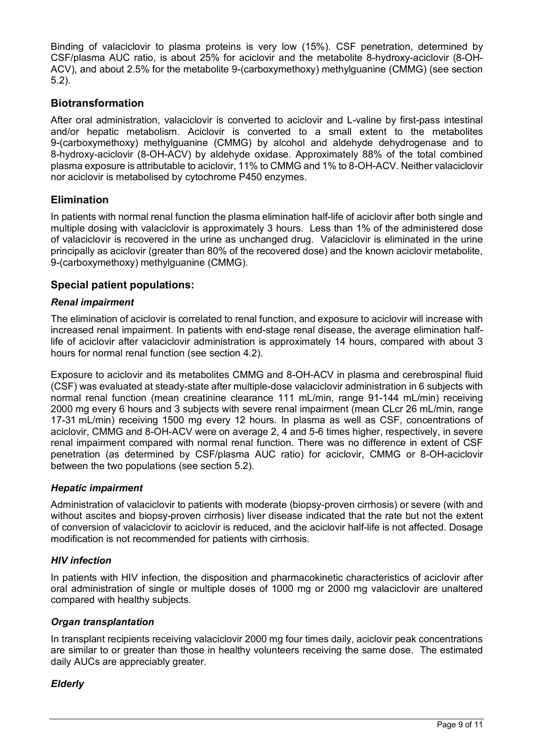Binding of valaciclovir to plasma proteins is very low (15%). CSF penetration, determined by CSF/plasma AUC ratio, is about 25% for aciclovir and the metabolite 8-hydroxy-aciclovir (8-OH-ACV), and about 2.5% for the metabolite 9-(carboxymethoxy) methylguanine (CMMG) (see section 5.2).

#### **Biotransformation**

After oral administration, valaciclovir is converted to aciclovir and L-valine by first-pass intestinal and/or hepatic metabolism. Aciclovir is converted to a small extent to the metabolites 9-(carboxymethoxy) methylguanine (CMMG) by alcohol and aldehyde dehydrogenase and to 8-hydroxy-aciclovir (8-OH-ACV) by aldehyde oxidase. Approximately 88% of the total combined plasma exposure is attributable to aciclovir, 11% to CMMG and 1% to 8-OH-ACV. Neither valaciclovir nor aciclovir is metabolised by cytochrome P450 enzymes.

#### **Elimination**

In patients with normal renal function the plasma elimination half-life of aciclovir after both single and multiple dosing with valaciclovir is approximately 3 hours. Less than 1% of the administered dose of valaciclovir is recovered in the urine as unchanged drug. Valaciclovir is eliminated in the urine principally as aciclovir (greater than 80% of the recovered dose) and the known aciclovir metabolite, 9-(carboxymethoxy) methylguanine (CMMG).

#### **Special patient populations:**

#### *Renal impairment*

The elimination of aciclovir is correlated to renal function, and exposure to aciclovir will increase with increased renal impairment. In patients with end-stage renal disease, the average elimination halflife of aciclovir after valaciclovir administration is approximately 14 hours, compared with about 3 hours for normal renal function (see section 4.2).

Exposure to aciclovir and its metabolites CMMG and 8-OH-ACV in plasma and cerebrospinal fluid (CSF) was evaluated at steady-state after multiple-dose valaciclovir administration in 6 subjects with normal renal function (mean creatinine clearance 111 mL/min, range 91-144 mL/min) receiving 2000 mg every 6 hours and 3 subjects with severe renal impairment (mean CLcr 26 mL/min, range 17-31 mL/min) receiving 1500 mg every 12 hours. In plasma as well as CSF, concentrations of aciclovir, CMMG and 8-OH-ACV were on average 2, 4 and 5-6 times higher, respectively, in severe renal impairment compared with normal renal function. There was no difference in extent of CSF penetration (as determined by CSF/plasma AUC ratio) for aciclovir, CMMG or 8-OH-aciclovir between the two populations (see section 5.2).

#### *Hepatic impairment*

Administration of valaciclovir to patients with moderate (biopsy-proven cirrhosis) or severe (with and without ascites and biopsy-proven cirrhosis) liver disease indicated that the rate but not the extent of conversion of valaciclovir to aciclovir is reduced, and the aciclovir half-life is not affected. Dosage modification is not recommended for patients with cirrhosis.

#### *HIV infection*

In patients with HIV infection, the disposition and pharmacokinetic characteristics of aciclovir after oral administration of single or multiple doses of 1000 mg or 2000 mg valaciclovir are unaltered compared with healthy subjects.

#### *Organ transplantation*

In transplant recipients receiving valaciclovir 2000 mg four times daily, aciclovir peak concentrations are similar to or greater than those in healthy volunteers receiving the same dose. The estimated daily AUCs are appreciably greater.

#### *Elderly*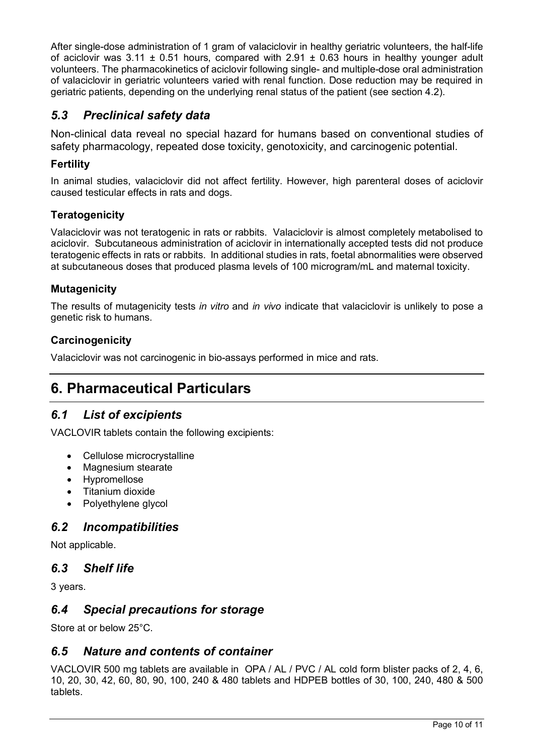After single-dose administration of 1 gram of valaciclovir in healthy geriatric volunteers, the half-life of aciclovir was 3.11  $\pm$  0.51 hours, compared with 2.91  $\pm$  0.63 hours in healthy younger adult volunteers. The pharmacokinetics of aciclovir following single- and multiple-dose oral administration of valaciclovir in geriatric volunteers varied with renal function. Dose reduction may be required in geriatric patients, depending on the underlying renal status of the patient (see section 4.2).

# *5.3 Preclinical safety data*

Non-clinical data reveal no special hazard for humans based on conventional studies of safety pharmacology, repeated dose toxicity, genotoxicity, and carcinogenic potential.

# **Fertility**

In animal studies, valaciclovir did not affect fertility. However, high parenteral doses of aciclovir caused testicular effects in rats and dogs.

# **Teratogenicity**

Valaciclovir was not teratogenic in rats or rabbits. Valaciclovir is almost completely metabolised to aciclovir. Subcutaneous administration of aciclovir in internationally accepted tests did not produce teratogenic effects in rats or rabbits. In additional studies in rats, foetal abnormalities were observed at subcutaneous doses that produced plasma levels of 100 microgram/mL and maternal toxicity.

# **Mutagenicity**

The results of mutagenicity tests *in vitro* and *in vivo* indicate that valaciclovir is unlikely to pose a genetic risk to humans.

### **Carcinogenicity**

Valaciclovir was not carcinogenic in bio-assays performed in mice and rats.

# **6. Pharmaceutical Particulars**

# *6.1 List of excipients*

VACLOVIR tablets contain the following excipients:

- Cellulose microcrystalline
- Magnesium stearate
- Hypromellose
- Titanium dioxide
- Polyethylene glycol

# *6.2 Incompatibilities*

Not applicable.

# *6.3 Shelf life*

3 years.

# *6.4 Special precautions for storage*

Store at or below 25°C.

# *6.5 Nature and contents of container*

VACLOVIR 500 mg tablets are available in OPA / AL / PVC / AL cold form blister packs of 2, 4, 6, 10, 20, 30, 42, 60, 80, 90, 100, 240 & 480 tablets and HDPEB bottles of 30, 100, 240, 480 & 500 tablets.